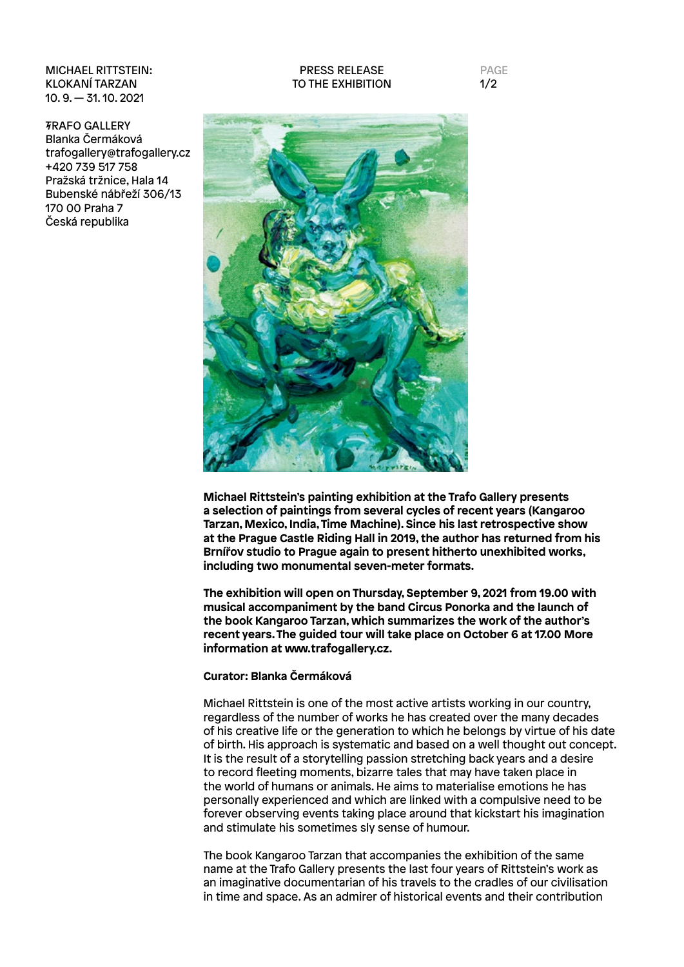MICHAEL RITTSTEIN: KLOKANÍ TARZAN 10. 9. — 31. 10. 2021

TRAFO GALLERY Blanka Čermáková trafogallery@trafogallery.cz +420 739 517 758 Pražská tržnice, Hala 14 Bubenské nábřeží 306/13 170 00 Praha 7 Česká republika

## PRESS RELEASE TO THE EXHIBITION

PAGE  $1/2$ 



**Michael Rittstein's painting exhibition at the Trafo Gallery presents a selection of paintings from several cycles of recent years (Kangaroo Tarzan, Mexico, India, Time Machine). Since his last retrospective show at the Prague Castle Riding Hall in 2019, the author has returned from his Brnířov studio to Prague again to present hitherto unexhibited works, including two monumental seven-meter formats.**

**The exhibition will open on Thursday, September 9, 2021 from 19.00 with musical accompaniment by the band Circus Ponorka and the launch of the book Kangaroo Tarzan, which summarizes the work of the author's recent years. The guided tour will take place on October 6 at 17.00 More information at www.trafogallery.cz.**

## **Curator: Blanka Čermáková**

Michael Rittstein is one of the most active artists working in our country, regardless of the number of works he has created over the many decades of his creative life or the generation to which he belongs by virtue of his date of birth. His approach is systematic and based on a well thought out concept. It is the result of a storytelling passion stretching back years and a desire to record fleeting moments, bizarre tales that may have taken place in the world of humans or animals. He aims to materialise emotions he has personally experienced and which are linked with a compulsive need to be forever observing events taking place around that kickstart his imagination and stimulate his sometimes sly sense of humour.

The book Kangaroo Tarzan that accompanies the exhibition of the same name at the Trafo Gallery presents the last four years of Rittstein's work as an imaginative documentarian of his travels to the cradles of our civilisation in time and space. As an admirer of historical events and their contribution